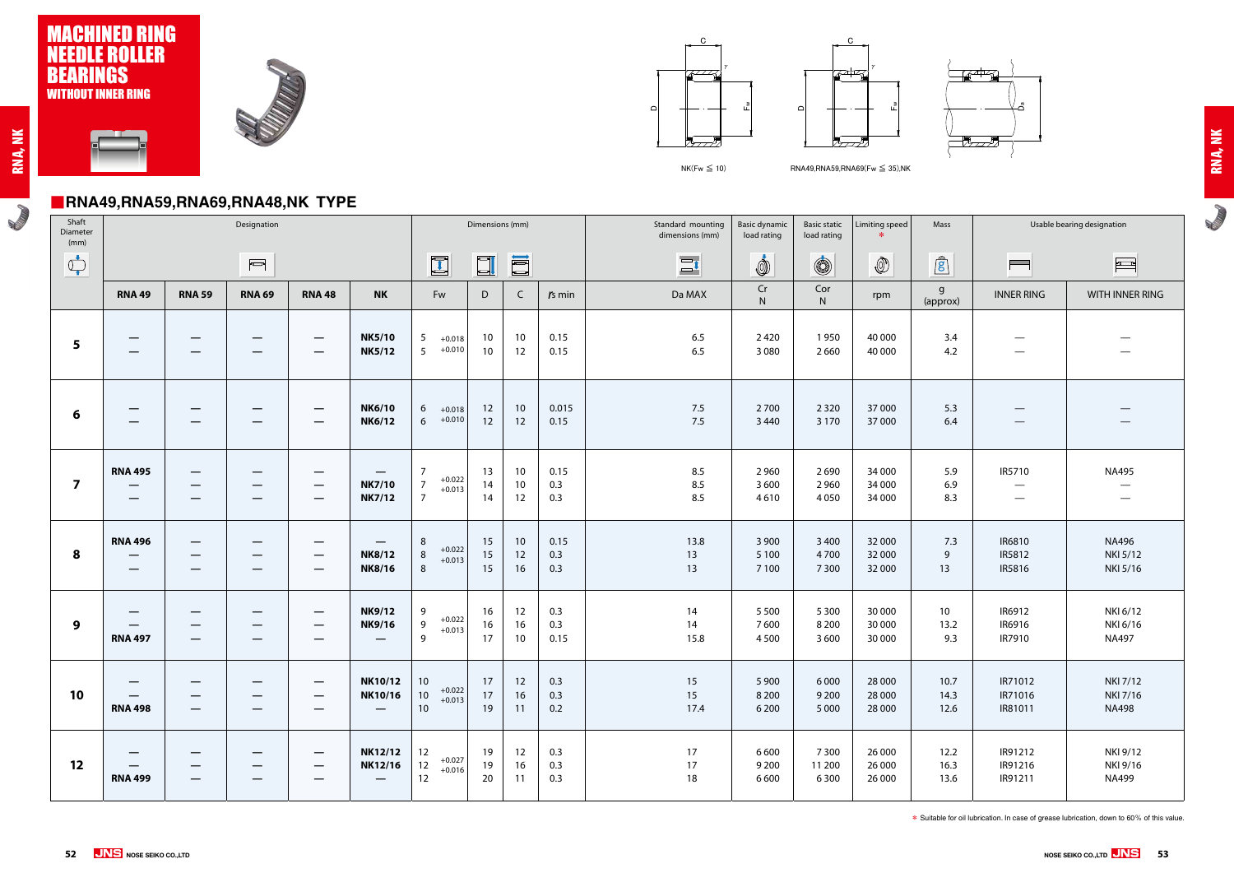**ROWLED** 



#### ■**RNA49,RNA59,RNA69,RNA48,NK TYPE**





**RADIO** 



 $NK$ (Fw  $\leq$  10) RNA49,RNA59,RNA69(Fw  $\leq$  35),NK





| Shaft<br>Diameter<br>(mm)                                                                                                                                                                                                                                                                                                                           |                                                                                              |                                                                                  | Designation                                                                                                                                                                                                                                                                                                                                         |                                                                                                   |                                                            |                                                                 | Dimensions (mm)                    |                             |                    | Standard mounting<br>dimensions (mm) | <b>Basic dynamic</b><br>load rating | <b>Basic static</b><br>load rating | Limiting speed             | Mass                           |                                                         | Usable bearing designation                  |
|-----------------------------------------------------------------------------------------------------------------------------------------------------------------------------------------------------------------------------------------------------------------------------------------------------------------------------------------------------|----------------------------------------------------------------------------------------------|----------------------------------------------------------------------------------|-----------------------------------------------------------------------------------------------------------------------------------------------------------------------------------------------------------------------------------------------------------------------------------------------------------------------------------------------------|---------------------------------------------------------------------------------------------------|------------------------------------------------------------|-----------------------------------------------------------------|------------------------------------|-----------------------------|--------------------|--------------------------------------|-------------------------------------|------------------------------------|----------------------------|--------------------------------|---------------------------------------------------------|---------------------------------------------|
| $\begin{picture}(220,20) \put(0,0){\line(1,0){10}} \put(15,0){\line(1,0){10}} \put(15,0){\line(1,0){10}} \put(15,0){\line(1,0){10}} \put(15,0){\line(1,0){10}} \put(15,0){\line(1,0){10}} \put(15,0){\line(1,0){10}} \put(15,0){\line(1,0){10}} \put(15,0){\line(1,0){10}} \put(15,0){\line(1,0){10}} \put(15,0){\line(1,0){10}} \put(15,0){\line($ |                                                                                              |                                                                                  | $\begin{picture}(20,20) \put(0,0){\line(1,0){10}} \put(15,0){\line(1,0){10}} \put(15,0){\line(1,0){10}} \put(15,0){\line(1,0){10}} \put(15,0){\line(1,0){10}} \put(15,0){\line(1,0){10}} \put(15,0){\line(1,0){10}} \put(15,0){\line(1,0){10}} \put(15,0){\line(1,0){10}} \put(15,0){\line(1,0){10}} \put(15,0){\line(1,0){10}} \put(15,0){\line(1$ |                                                                                                   |                                                            | $\Box$                                                          | $\Box$                             | ll                          |                    | $\Xi$ <sup>t</sup>                   | İ                                   | $\circledS$                        | $\circledS$                | $\mathbf{r}$                   | $\qquad \qquad \blacksquare$                            |                                             |
|                                                                                                                                                                                                                                                                                                                                                     | <b>RNA 49</b>                                                                                | <b>RNA 59</b>                                                                    | <b>RNA 69</b>                                                                                                                                                                                                                                                                                                                                       | <b>RNA 48</b>                                                                                     | <b>NK</b>                                                  | Fw                                                              | D                                  | $\mathsf{C}$                | $rs$ min           | Da MAX                               | $\mathsf{Cr}$<br>N                  | Cor<br>N                           | rpm                        | g<br>(approx)                  | <b>INNER RING</b>                                       | WITH INNER RING                             |
| 5                                                                                                                                                                                                                                                                                                                                                   | $\hspace{0.1mm}-\hspace{0.1mm}$                                                              | $\hspace{0.1mm}-\hspace{0.1mm}$<br>$\overline{\phantom{m}}$                      | $\overline{\phantom{m}}$                                                                                                                                                                                                                                                                                                                            | $\overline{\phantom{m}}$<br>$\overline{\phantom{m}}$                                              | <b>NK5/10</b><br><b>NK5/12</b>                             | $5\phantom{.0}$<br>$+0.018$<br>5 <sup>5</sup><br>$+0.010$       | 10 <sup>°</sup><br>10 <sup>°</sup> | 10<br>12                    | 0.15<br>0.15       | 6.5<br>6.5                           | 2420<br>3 0 8 0                     | 1950<br>2660                       | 40 000<br>40 000           | 3.4<br>4.2                     | $\hspace{0.1mm}-\hspace{0.1mm}$                         |                                             |
| 6                                                                                                                                                                                                                                                                                                                                                   | $\hspace{0.1mm}-\hspace{0.1mm}$                                                              | $\hspace{0.1mm}-\hspace{0.1mm}$<br>$\hspace{0.1mm}-\hspace{0.1mm}$               | $\hspace{0.1mm}-\hspace{0.1mm}$<br>$\overline{\phantom{m}}$                                                                                                                                                                                                                                                                                         | $\overline{\phantom{m}}$<br>$\overline{\phantom{m}}$                                              | <b>NK6/10</b><br><b>NK6/12</b>                             | 6<br>$+0.018$<br>$6 + 0.010$                                    | 12<br>12                           | 10<br>12                    | 0.015<br>0.15      | 7.5<br>7.5                           | 2700<br>3 4 4 0                     | 2 3 2 0<br>3 1 7 0                 | 37 000<br>37 000           | 5.3<br>6.4                     | $\hspace{0.05cm}$<br>$\hspace{0.1mm}-\hspace{0.1mm}$    |                                             |
| $\overline{\mathbf{z}}$                                                                                                                                                                                                                                                                                                                             | <b>RNA 495</b><br>$\qquad \qquad -$<br>$\hspace{0.05cm}$                                     | $\hspace{0.05cm}$<br>$\hspace{0.1mm}-\hspace{0.1mm}$<br>$\overline{\phantom{m}}$ | $\hspace{0.1mm}-\hspace{0.1mm}$<br>$\hspace{0.1mm}-\hspace{0.1mm}$<br>$\overline{\phantom{m}}$                                                                                                                                                                                                                                                      | $\overline{\phantom{m}}$<br>$\overline{\phantom{m}}$<br>$\overline{\phantom{m}}$                  | $\overline{\phantom{0}}$<br><b>NK7/10</b><br><b>NK7/12</b> | - 7<br>$+0.022$<br>$\overline{7}$<br>$+0.013$<br>$\overline{7}$ | 13<br>14<br>14                     | 10<br>10 <sup>°</sup><br>12 | 0.15<br>0.3<br>0.3 | 8.5<br>8.5<br>8.5                    | 2 9 6 0<br>3 600<br>4610            | 2690<br>2 9 6 0<br>4050            | 34 000<br>34 000<br>34 000 | 5.9<br>6.9<br>8.3              | IR5710<br>$\hspace{0.05cm}$<br>$\overline{\phantom{0}}$ | <b>NA495</b><br>$\hspace{0.05cm}$           |
| 8                                                                                                                                                                                                                                                                                                                                                   | <b>RNA 496</b><br>$\overline{\phantom{m}}$<br>$\hspace{0.05cm}$                              | $\hspace{0.1mm}-\hspace{0.1mm}$<br>$\hspace{0.1mm}-\hspace{0.1mm}$               | $\overline{\phantom{m}}$<br>$\overline{\phantom{m}}$                                                                                                                                                                                                                                                                                                | $\overline{\phantom{m}}$<br>$\overline{\phantom{m}}$<br>$\overline{\phantom{0}}$                  | $\hspace{0.05cm}$<br><b>NK8/12</b><br><b>NK8/16</b>        | 8<br>$+0.022$<br>$\, 8$<br>$+0.013$<br>$\,8\,$                  | 15<br>15<br>15                     | 10<br>12<br>16              | 0.15<br>0.3<br>0.3 | 13.8<br>13<br>13                     | 3 9 0 0<br>5 1 0 0<br>7 1 0 0       | 3 4 0 0<br>4700<br>7 3 0 0         | 32 000<br>32 000<br>32 000 | 7.3<br>9<br>13                 | IR6810<br>IR5812<br>IR5816                              | <b>NA496</b><br>NKI 5/12<br>NKI 5/16        |
| 9                                                                                                                                                                                                                                                                                                                                                   | $\hspace{0.1mm}-\hspace{0.1mm}$<br>$\hspace{0.05cm}$<br><b>RNA 497</b>                       | $\hspace{0.1mm}-\hspace{0.1mm}$<br>$\hspace{0.05cm}$<br>$\overline{\phantom{m}}$ | $\overline{\phantom{m}}$<br>$\hspace{0.05cm}$<br>$\qquad \qquad \qquad$                                                                                                                                                                                                                                                                             | $\overline{\phantom{0}}$<br>$\overline{\phantom{m}}$<br>$\qquad \qquad \overline{\qquad \qquad }$ | <b>NK9/12</b><br><b>NK9/16</b><br>$\overline{\phantom{a}}$ | 9<br>$+0.022$<br>$\overline{9}$<br>$+0.013$<br>$\overline{9}$   | 16<br>16<br>17                     | 12<br>16<br>10 <sup>°</sup> | 0.3<br>0.3<br>0.15 | 14<br>14<br>15.8                     | 5 5 0 0<br>7600<br>4500             | 5 3 0 0<br>8 2 0 0<br>3 600        | 30 000<br>30 000<br>30 000 | 10 <sup>°</sup><br>13.2<br>9.3 | IR6912<br>IR6916<br>IR7910                              | NKI 6/12<br>NKI 6/16<br><b>NA497</b>        |
| 10                                                                                                                                                                                                                                                                                                                                                  | $\qquad \qquad \  \  \, -\qquad \qquad$<br>$\hspace{0.1mm}-\hspace{0.1mm}$<br><b>RNA 498</b> | $\hspace{0.05cm}$                                                                | $\overline{\phantom{m}}$<br>$\hspace{0.1mm}-\hspace{0.1mm}$                                                                                                                                                                                                                                                                                         | —<br>$\hspace{0.05cm}$                                                                            | <b>NK10/12</b><br>NK10/16<br>$\qquad \qquad -$             | 10<br>$+0.022$<br>$10\,$<br>$+0.013$<br>$10\,$                  | 17<br>17<br>19                     | 12<br>16<br>11              | 0.3<br>0.3<br>0.2  | 15<br>15<br>17.4                     | 5 9 0 0<br>8 2 0 0<br>6 2 0 0       | 6 0 0 0<br>9 2 0 0<br>5 0 0 0      | 28 000<br>28 000<br>28 000 | 10.7<br>14.3<br>12.6           | IR71012<br>IR71016<br>IR81011                           | <b>NKI 7/12</b><br>NKI 7/16<br><b>NA498</b> |
| 12                                                                                                                                                                                                                                                                                                                                                  | <b>RNA 499</b>                                                                               | –<br>$\hspace{0.1mm}-\hspace{0.1mm}$                                             | –                                                                                                                                                                                                                                                                                                                                                   | $\overline{\phantom{m}}$<br>—<br>—                                                                | <b>NK12/12</b><br><b>NK12/16</b>                           | 12<br>$+0.027$<br>$12\,$<br>$+0.016$<br>12                      | 19<br>19<br>20                     | 12<br>16<br>11              | 0.3<br>0.3<br>0.3  | 17<br>17<br>18                       | 6 6 0 0<br>9 2 0 0<br>6 600         | 7 3 0 0<br>11 200<br>6 3 0 0       | 26 000<br>26 000<br>26 000 | 12.2<br>16.3<br>13.6           | IR91212<br>IR91216<br>IR91211                           | NKI 9/12<br>NKI 9/16<br><b>NA499</b>        |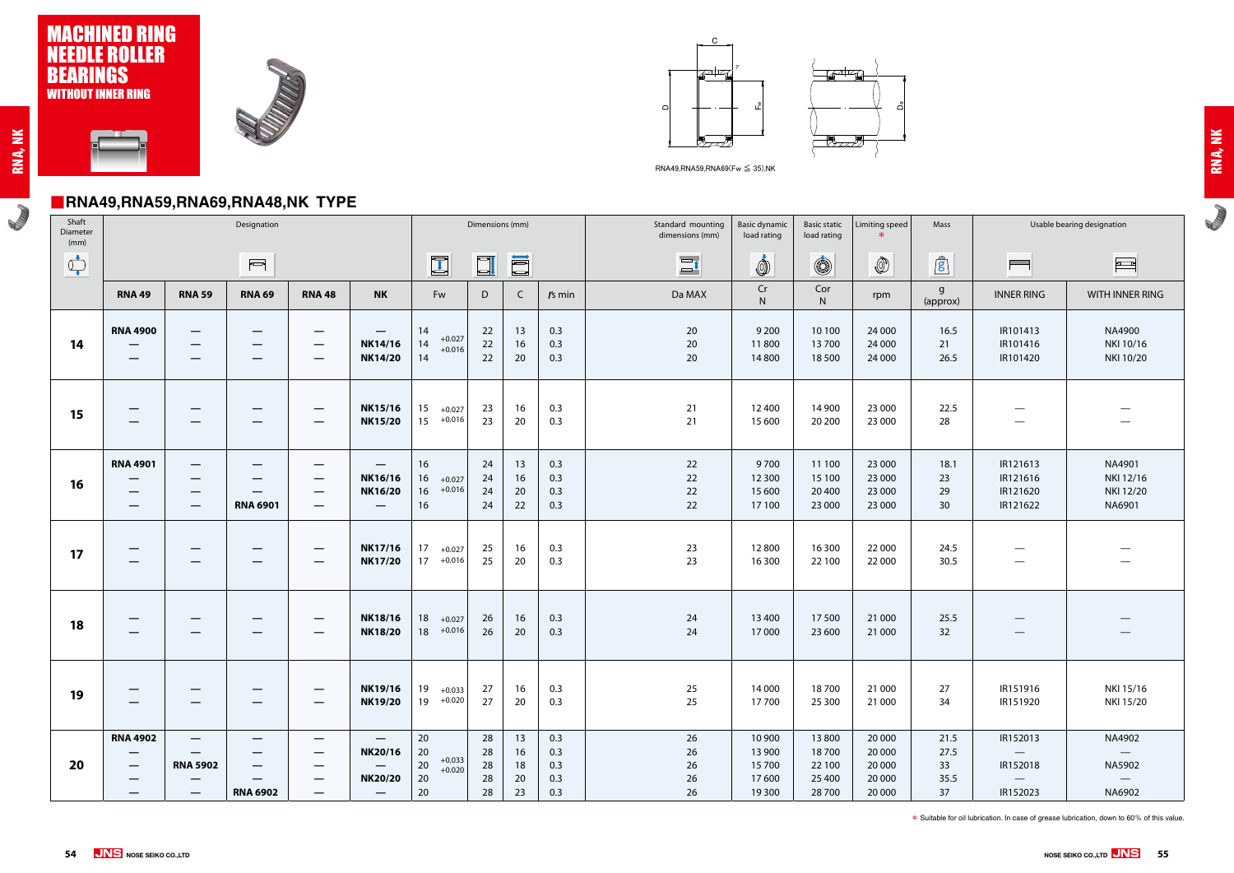#### ■**RNA49,RNA59,RNA69,RNA48,NK TYPE**

**ROWLED** 









RNA49,RNA59,RNA69(Fw ≤ 35),NK

| Shaft<br>Diameter<br>(mm)   | - ,                                                                                                              | $  \prime$<br>- - ,                                                                                   | Designation                                                                                                                                       |                                                                                                                                               |                                                                                                               |                                                        | Dimensions (mm)            |                            |                                 | Standard mounting<br>dimensions (mm) | <b>Basic dynamic</b><br>load rating          | <b>Basic static</b><br>load rating           | Limiting speed                                 | Mass                             |                                                                                  | Usable bearing designation                                         |
|-----------------------------|------------------------------------------------------------------------------------------------------------------|-------------------------------------------------------------------------------------------------------|---------------------------------------------------------------------------------------------------------------------------------------------------|-----------------------------------------------------------------------------------------------------------------------------------------------|---------------------------------------------------------------------------------------------------------------|--------------------------------------------------------|----------------------------|----------------------------|---------------------------------|--------------------------------------|----------------------------------------------|----------------------------------------------|------------------------------------------------|----------------------------------|----------------------------------------------------------------------------------|--------------------------------------------------------------------|
| $\bigoplus_{\blacklozenge}$ |                                                                                                                  |                                                                                                       | $\overline{\phantom{0}}$                                                                                                                          |                                                                                                                                               |                                                                                                               | $\Box$                                                 | $\Box$                     | <b>E</b>                   |                                 | $\Xi$                                | İ                                            | $\circledS$                                  | $\circled{0}$                                  | $\mathbf{r}$                     | $\blacksquare$                                                                   | $\frac{1}{2}$                                                      |
|                             | <b>RNA 49</b>                                                                                                    | <b>RNA 59</b>                                                                                         | <b>RNA 69</b>                                                                                                                                     | <b>RNA 48</b>                                                                                                                                 | <b>NK</b>                                                                                                     | Fw                                                     | D                          | $\mathsf{C}$               | $rs$ min                        | Da MAX                               | Cr<br>N                                      | Cor<br>N                                     | rpm                                            | g<br>(approx)                    | <b>INNER RING</b>                                                                | WITH INNER RING                                                    |
| 14                          | <b>RNA 4900</b><br>$\hspace{0.05cm}$<br>$\overline{\phantom{m}}$                                                 | $\overline{\phantom{m}}$                                                                              | $\overline{\phantom{m}}$                                                                                                                          | $\hspace{0.05cm}$<br>$\hspace{0.05cm}$<br>$\hspace{0.05cm}$                                                                                   | $\overline{\phantom{0}}$<br><b>NK14/16</b><br><b>NK14/20</b>                                                  | 14<br>$+0.027$<br>14<br>$+0.016$<br>14                 | 22<br>22<br>22             | 13<br>16<br>20             | 0.3<br>0.3<br>0.3               | 20<br>20<br>20                       | 9 2 0 0<br>11800<br>14 800                   | 10 100<br>13700<br>18 500                    | 24 000<br>24 000<br>24 000                     | 16.5<br>21<br>26.5               | IR101413<br>IR101416<br>IR101420                                                 | NA4900<br>NKI 10/16<br>NKI 10/20                                   |
| 15                          | $\overline{\phantom{m}}$<br>–                                                                                    |                                                                                                       |                                                                                                                                                   |                                                                                                                                               | <b>NK15/16</b><br><b>NK15/20</b>                                                                              | 15<br>$+0.027$<br>$15 + 0.016$                         | 23<br>23                   | 16<br>20                   | 0.3<br>0.3                      | 21<br>21                             | 12 400<br>15 600                             | 14 900<br>20 200                             | 23 000<br>23 000                               | 22.5<br>28                       | —                                                                                |                                                                    |
| 16                          | <b>RNA 4901</b><br>$\qquad \qquad \longleftarrow$<br>$\qquad \qquad \longleftarrow$<br>$\overline{\phantom{m}}$  | $\hspace{0.1mm}-\hspace{0.1mm}$<br>$\hspace{0.1mm}-\hspace{0.1mm}$<br>$\overline{\phantom{0}}$        | $\hspace{0.1mm}-\hspace{0.1mm}$<br>$\hspace{0.05cm}$<br><b>RNA 6901</b>                                                                           | —<br>$\qquad \qquad \overline{\qquad \qquad }$<br>$\hspace{0.05cm}$<br>$\overline{\phantom{0}}$                                               | $\qquad \qquad \longleftarrow$<br>NK16/16<br><b>NK16/20</b><br>$\hspace{0.05cm}$                              | 16<br>16<br>$+0.027$<br>$+0.016$<br>16<br>16           | 24<br>24<br>24<br>24       | 13<br>16<br>20<br>22       | 0.3<br>0.3<br>0.3<br>0.3        | 22<br>22<br>22<br>22                 | 9700<br>12 300<br>15 600<br>17 100           | 11 100<br>15 100<br>20 400<br>23 000         | 23 000<br>23 000<br>23 000<br>23 000           | 18.1<br>23<br>29<br>30           | IR121613<br>IR121616<br>IR121620<br>IR121622                                     | NA4901<br>NKI 12/16<br>NKI 12/20<br>NA6901                         |
| 17                          | $\qquad \qquad \longleftarrow$                                                                                   |                                                                                                       | $\hspace{0.1mm}-\hspace{0.1mm}$<br>$\overline{\phantom{m}}$                                                                                       | $\qquad \qquad \overline{\qquad \qquad }$<br>$\hspace{0.05cm}$                                                                                | <b>NK17/16</b><br><b>NK17/20</b>                                                                              | 17<br>$+0.027$<br>$17 +0.016$                          | 25<br>25                   | 16<br>20                   | 0.3<br>0.3                      | 23<br>23                             | 12800<br>16 300                              | 16 300<br>22 100                             | 22 000<br>22 000                               | 24.5<br>30.5                     |                                                                                  |                                                                    |
| 18                          | $\overline{\phantom{m}}$                                                                                         |                                                                                                       |                                                                                                                                                   |                                                                                                                                               | <b>NK18/16</b><br><b>NK18/20</b>                                                                              | 18<br>$+0.027$<br>$18 + 0.016$                         | 26<br>26                   | 16<br>20                   | 0.3<br>0.3                      | 24<br>24                             | 13 400<br>17000                              | 17500<br>23 600                              | 21 000<br>21 000                               | 25.5<br>32                       | $\hspace{0.05cm}$                                                                |                                                                    |
| 19                          | $\hspace{0.1mm}-\hspace{0.1mm}$<br>—                                                                             |                                                                                                       | $\hspace{0.1mm}-\hspace{0.1mm}$<br>$\hspace{0.05cm}$                                                                                              | —                                                                                                                                             | <b>NK19/16</b><br><b>NK19/20</b>                                                                              | 19<br>$+0.033$<br>$19 + 0.020$                         | 27<br>27                   | 16<br>20                   | 0.3<br>0.3                      | 25<br>25                             | 14 000<br>17700                              | 18700<br>25 300                              | 21 000<br>21 000                               | 27<br>34                         | IR151916<br>IR151920                                                             | NKI 15/16<br>NKI 15/20                                             |
| 20                          | <b>RNA 4902</b><br>$\hspace{0.1mm}-\hspace{0.1mm}$<br>$\overline{\phantom{m}}$<br>$\qquad \qquad \longleftarrow$ | $\overline{\phantom{m}}$<br><b>RNA 5902</b><br>$\qquad \qquad \  \  \, -$<br>$\overline{\phantom{m}}$ | $\hspace{0.1mm}-\hspace{0.1mm}$<br>$\qquad \qquad \qquad \qquad$<br>$\overline{\phantom{m}}$<br>$\qquad \qquad \longleftarrow$<br><b>RNA 6902</b> | $\qquad \qquad \overline{\qquad \qquad }$<br>$\qquad \qquad \longleftarrow$<br>$\qquad \qquad \overline{\qquad \qquad }$<br>$\qquad \qquad -$ | $\overline{\phantom{0}}$<br><b>NK20/16</b><br>$\overline{\phantom{0}}$<br><b>NK20/20</b><br>$\qquad \qquad -$ | 20<br>20<br>$+0.033$<br>  20<br>$+0.020$<br>  20<br>20 | 28<br>28<br>28<br>28<br>28 | 13<br>16<br>18<br>20<br>23 | 0.3<br>0.3<br>0.3<br>0.3<br>0.3 | 26<br>26<br>26<br>26<br>26           | 10 900<br>13 900<br>15700<br>17600<br>19 300 | 13800<br>18700<br>22 100<br>25 400<br>28 700 | 20 000<br>20 000<br>20 000<br>20 000<br>20 000 | 21.5<br>27.5<br>33<br>35.5<br>37 | IR152013<br>$\hspace{0.1cm}$<br>IR152018<br>$\overline{\phantom{0}}$<br>IR152023 | NA4902<br>$\hspace{0.1cm}$<br>NA5902<br>$\hspace{0.1cm}$<br>NA6902 |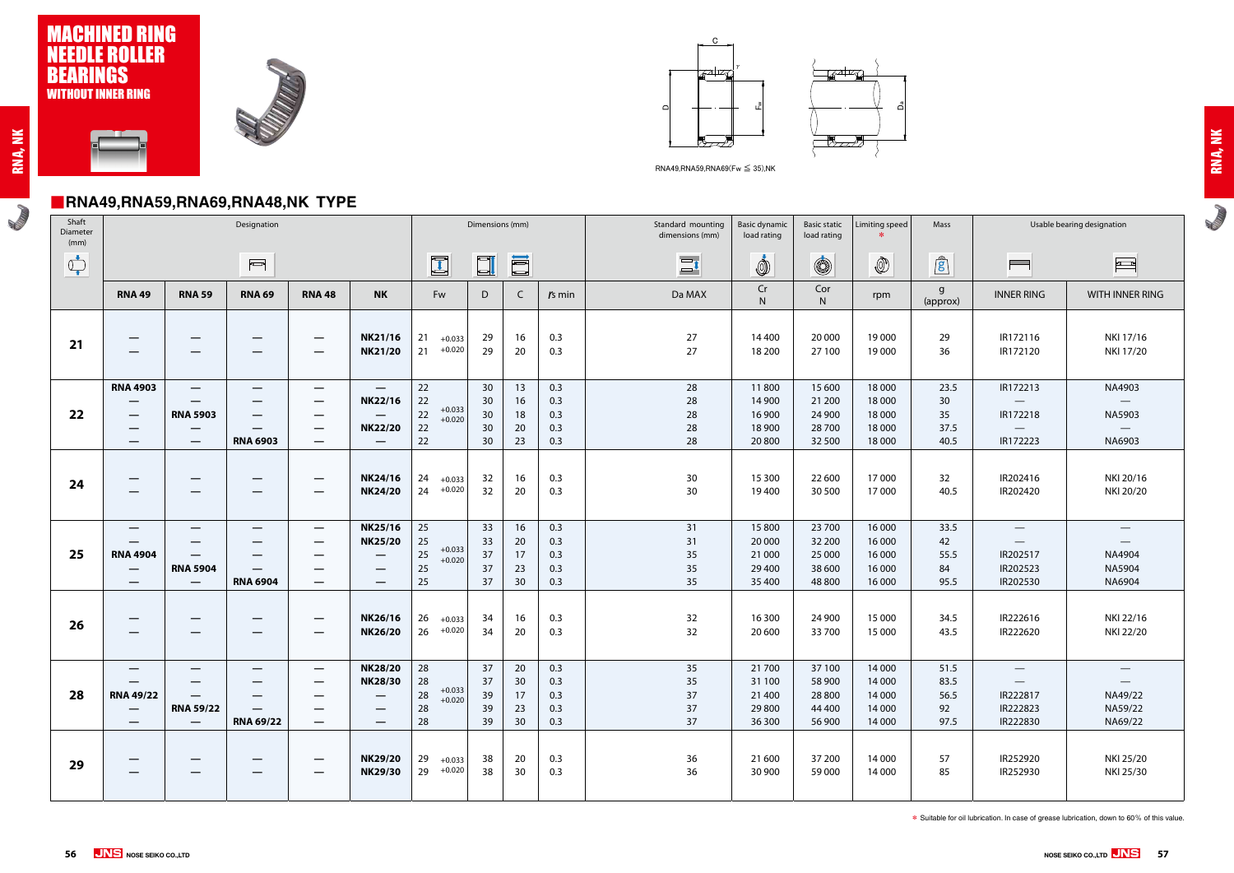# ■**RNA49,RNA59,RNA69,RNA48,NK TYPE**









RNA49,RNA59,RNA69(Fw ≤ 35),NK

**RADIO** 

| Shaft<br>Diameter<br>(mm)                                                                                                                                                                                                                                                                                                                           |                                                                                                                       |                                                                         | Designation                                          |                                                      |                                                                                                                                             |                                                        | Dimensions (mm)                   |                            |                                 | Standard mounting<br>dimensions (mm) | <b>Basic dynamic</b><br>load rating            | <b>Basic static</b><br>load rating             | Limiting speed                                 | Mass                               |                                                                                                 | Usable bearing designation                                                                |
|-----------------------------------------------------------------------------------------------------------------------------------------------------------------------------------------------------------------------------------------------------------------------------------------------------------------------------------------------------|-----------------------------------------------------------------------------------------------------------------------|-------------------------------------------------------------------------|------------------------------------------------------|------------------------------------------------------|---------------------------------------------------------------------------------------------------------------------------------------------|--------------------------------------------------------|-----------------------------------|----------------------------|---------------------------------|--------------------------------------|------------------------------------------------|------------------------------------------------|------------------------------------------------|------------------------------------|-------------------------------------------------------------------------------------------------|-------------------------------------------------------------------------------------------|
| $\begin{picture}(220,20) \put(0,0){\line(1,0){10}} \put(15,0){\line(1,0){10}} \put(15,0){\line(1,0){10}} \put(15,0){\line(1,0){10}} \put(15,0){\line(1,0){10}} \put(15,0){\line(1,0){10}} \put(15,0){\line(1,0){10}} \put(15,0){\line(1,0){10}} \put(15,0){\line(1,0){10}} \put(15,0){\line(1,0){10}} \put(15,0){\line(1,0){10}} \put(15,0){\line($ |                                                                                                                       |                                                                         | $\overline{\mathbb{C}}$                              |                                                      |                                                                                                                                             | $\mathbf{I}$                                           | $\Box$                            | III                        |                                 | $\Xi$                                | İ                                              | $\circledS$                                    |                                                | $\mathbf{r}$                       | <b>Property</b>                                                                                 | $\frac{1}{2}$                                                                             |
|                                                                                                                                                                                                                                                                                                                                                     | <b>RNA 49</b>                                                                                                         | <b>RNA 59</b>                                                           | <b>RNA 69</b>                                        | <b>RNA48</b>                                         | <b>NK</b>                                                                                                                                   | Fw                                                     | D                                 | $\mathsf{C}$               | $rs$ min                        | Da MAX                               | Cr<br>N                                        | Cor<br>N                                       | rpm                                            | g<br>(approx)                      | <b>INNER RING</b>                                                                               | <b>WITH INNER RING</b>                                                                    |
| 21                                                                                                                                                                                                                                                                                                                                                  | $\hspace{0.05cm}$                                                                                                     | $\overline{\phantom{m}}$                                                |                                                      | $\overline{\phantom{0}}$                             | <b>NK21/16</b><br><b>NK21/20</b>                                                                                                            | 21<br>$+0.033$<br>21<br>$+0.020$                       | 29<br>29                          | 16<br>20                   | 0.3<br>0.3                      | 27<br>27                             | 14 400<br>18 200                               | 20 000<br>27 100                               | 19 000<br>19 000                               | 29<br>36                           | IR172116<br>IR172120                                                                            | NKI 17/16<br>NKI 17/20                                                                    |
| 22                                                                                                                                                                                                                                                                                                                                                  | <b>RNA 4903</b><br>$\hspace{0.1mm}-\hspace{0.1mm}$<br>$\overline{\phantom{m}}$                                        | $\overline{\phantom{m}}$<br><b>RNA 5903</b><br>$\overline{\phantom{m}}$ | $\overline{\phantom{m}}$<br>$\overline{\phantom{m}}$ | $\overline{\phantom{m}}$<br>$\overline{\phantom{m}}$ | $\overline{\phantom{0}}$<br>NK22/16<br>$\overline{\phantom{m}}$<br><b>NK22/20</b>                                                           | 22<br>$22$<br>$+0.033$<br>22<br>$+0.020$<br>$22$       | 30 <sup>°</sup><br>30<br>30<br>30 | 13<br>16<br>18<br>20       | 0.3<br>0.3<br>0.3<br>0.3        | 28<br>28<br>28<br>28                 | 11800<br>14 900<br>16 900<br>18 900            | 15 600<br>21 200<br>24 900<br>28 700           | 18 000<br>18 000<br>18 000<br>18 000           | 23.5<br>30<br>35<br>37.5           | IR172213<br>$\hspace{0.1mm}-\hspace{0.1mm}$<br>IR172218<br>$\overline{\phantom{a}}$             | NA4903<br>$\hspace{0.1em}$<br>NA5903<br>$\overline{\phantom{a}}$                          |
|                                                                                                                                                                                                                                                                                                                                                     |                                                                                                                       | $\overline{\phantom{m}}$                                                | <b>RNA 6903</b>                                      | $\overline{\phantom{m}}$                             | $\overline{\phantom{0}}$                                                                                                                    | 22                                                     | 30 <sup>°</sup>                   | 23                         | 0.3                             | 28                                   | 20 800                                         | 32 500                                         | 18 000                                         | 40.5                               | IR172223                                                                                        | NA6903                                                                                    |
| 24                                                                                                                                                                                                                                                                                                                                                  | $\qquad \qquad \longleftarrow$                                                                                        | $\hspace{0.1mm}-\hspace{0.1mm}$<br>$\hspace{0.1mm}-\hspace{0.1mm}$      | $\overline{\phantom{m}}$<br>$\overline{\phantom{m}}$ | $\overline{\phantom{0}}$                             | <b>NK24/16</b><br><b>NK24/20</b>                                                                                                            | 24<br>$+0.033$<br>24<br>$+0.020$                       | 32<br>32                          | 16<br>20                   | 0.3<br>0.3                      | 30<br>30                             | 15 300<br>19400                                | 22 600<br>30 500                               | 17000<br>17 000                                | 32<br>40.5                         | IR202416<br>IR202420                                                                            | NKI 20/16<br>NKI 20/20                                                                    |
| 25                                                                                                                                                                                                                                                                                                                                                  | –<br><b>RNA 4904</b><br>$\qquad \qquad \longleftarrow$<br>$\hspace{0.1mm}-\hspace{0.1mm}$                             | $\hspace{0.05cm}$<br><b>RNA 5904</b><br>$\overline{\phantom{0}}$        | $\hspace{0.1mm}-\hspace{0.1mm}$<br><b>RNA 6904</b>   | $\hspace{0.05cm}$<br>—<br>$\overline{\phantom{m}}$   | <b>NK25/16</b><br><b>NK25/20</b><br>$\qquad \qquad \longleftarrow$<br>$\overline{\phantom{m}}$<br>$\qquad \qquad \overline{\qquad \qquad }$ | $25\,$<br>25<br>$+0.033$<br>25<br>$+0.020$<br>25<br>25 | 33<br>33<br>37<br>37<br>37        | 16<br>20<br>17<br>23<br>30 | 0.3<br>0.3<br>0.3<br>0.3<br>0.3 | 31<br>31<br>35<br>35<br>35           | 15 800<br>20 000<br>21 000<br>29 400<br>35 400 | 23 700<br>32 200<br>25 000<br>38 600<br>48 800 | 16 000<br>16 000<br>16 000<br>16 000<br>16 000 | 33.5<br>42<br>55.5<br>84<br>95.5   | $\overline{\phantom{m}}$<br>IR202517<br>IR202523<br>IR202530                                    | $\overline{\phantom{0}}$<br>$\overline{\phantom{m}}$<br>NA4904<br><b>NA5904</b><br>NA6904 |
| 26                                                                                                                                                                                                                                                                                                                                                  | –                                                                                                                     | $\qquad \qquad \overline{\qquad \qquad }$                               |                                                      |                                                      | NK26/16<br><b>NK26/20</b>                                                                                                                   | 26<br>$+0.033$<br>$+0.020$<br>26                       | 34<br>34                          | 16<br>20                   | 0.3<br>0.3                      | 32<br>32                             | 16 300<br>20 600                               | 24 900<br>33 700                               | 15 000<br>15 000                               | 34.5<br>43.5                       | IR222616<br>IR222620                                                                            | NKI 22/16<br>NKI 22/20                                                                    |
| 28                                                                                                                                                                                                                                                                                                                                                  | $\qquad \qquad \longleftarrow$<br>$\qquad \qquad \longleftarrow$<br><b>RNA 49/22</b><br>$\overline{\phantom{0}}$<br>– | <b>RNA 59/22</b><br>$\overline{\phantom{0}}$                            | $\hspace{0.1mm}-\hspace{0.1mm}$<br><b>RNA 69/22</b>  | $\overline{\phantom{m}}$<br>–<br>–                   | <b>NK28/20</b><br><b>NK28/30</b><br>$\overline{\phantom{0}}$<br>$\qquad \qquad \longleftarrow$<br>—                                         | 28<br>28<br>$+0.033$<br>28<br>$+0.020$<br>28<br>28     | 37<br>37<br>39<br>39<br>39        | 20<br>30<br>17<br>23<br>30 | 0.3<br>0.3<br>0.3<br>0.3<br>0.3 | 35<br>35<br>37<br>37<br>37           | 21 700<br>31 100<br>21 400<br>29 800<br>36 300 | 37 100<br>58 900<br>28 800<br>44 400<br>56 900 | 14 000<br>14 000<br>14 000<br>14 000<br>14 000 | 51.5<br>83.5<br>56.5<br>92<br>97.5 | $\hspace{0.1mm}-\hspace{0.1mm}$<br>$\overline{\phantom{0}}$<br>IR222817<br>IR222823<br>IR222830 | $\overline{\phantom{0}}$<br>NA49/22<br>NA59/22<br>NA69/22                                 |
| 29                                                                                                                                                                                                                                                                                                                                                  |                                                                                                                       |                                                                         |                                                      |                                                      | <b>NK29/20</b><br><b>NK29/30</b>                                                                                                            | 29<br>$+0.033$<br>$29 + 0.020$                         | 38<br>38                          | 20<br>30                   | 0.3<br>0.3                      | 36<br>36                             | 21 600<br>30 900                               | 37 200<br>59 000                               | 14 000<br>14 000                               | 57<br>85                           | IR252920<br>IR252930                                                                            | NKI 25/20<br>NKI 25/30                                                                    |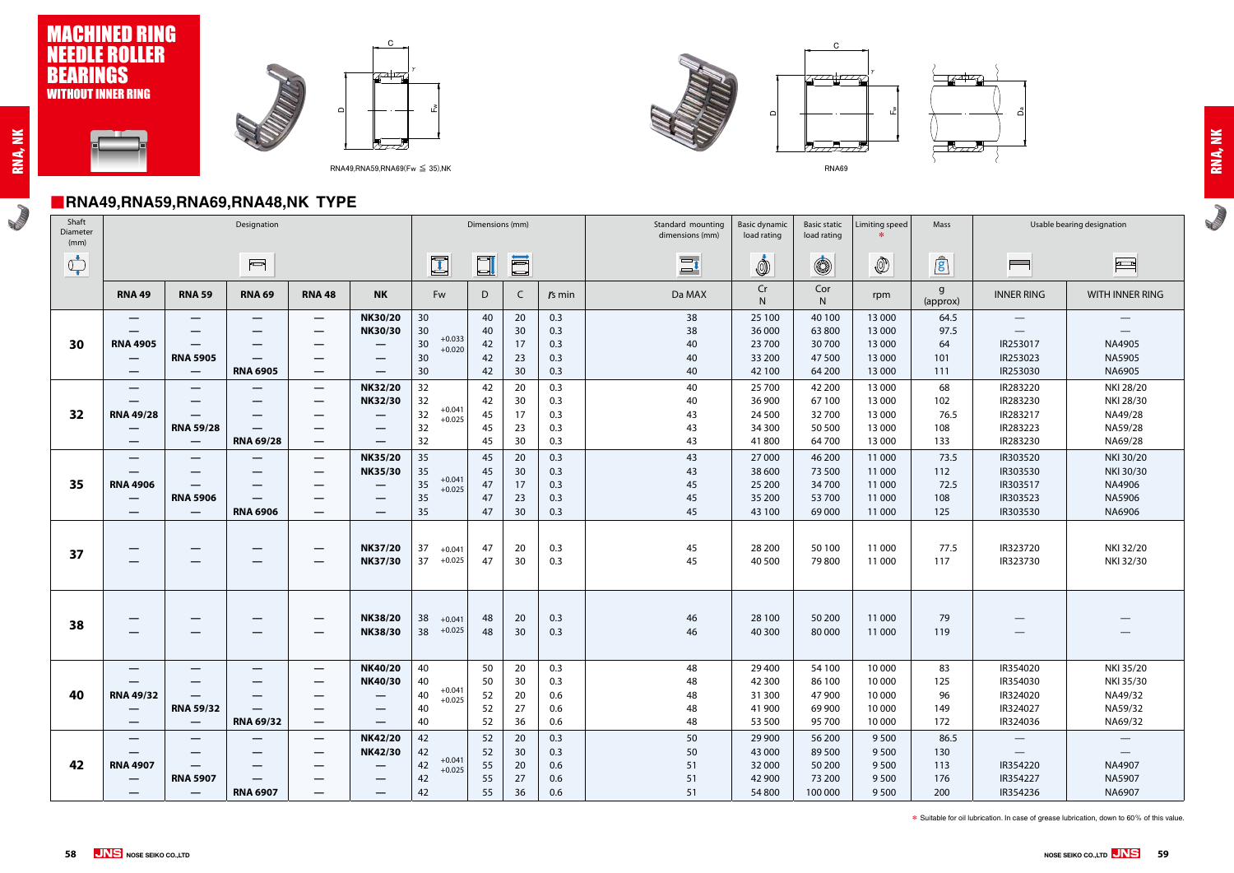### ■**RNA49,RNA59,RNA69,RNA48,NK TYPE**

**Round Report** 





RNA49,RNA59,RNA69(Fw ≤ 35),NK

㪝



RNA69

㫎

 $\gamma$ 





| Shaft<br>Diameter<br>(mm)                                                                                                                                                                                                                                                                                                                           |                            |                                                     | Designation                                                                                                                                                                                                                                                                                                                                         |                        |                                       |                                                    | Dimensions (mm)            |                            |                                 | Standard mounting<br>dimensions (mm) | <b>Basic dynamic</b><br>load rating            | <b>Basic static</b><br>load rating              | Limiting speed<br>$\ast$                       | Mass                            |
|-----------------------------------------------------------------------------------------------------------------------------------------------------------------------------------------------------------------------------------------------------------------------------------------------------------------------------------------------------|----------------------------|-----------------------------------------------------|-----------------------------------------------------------------------------------------------------------------------------------------------------------------------------------------------------------------------------------------------------------------------------------------------------------------------------------------------------|------------------------|---------------------------------------|----------------------------------------------------|----------------------------|----------------------------|---------------------------------|--------------------------------------|------------------------------------------------|-------------------------------------------------|------------------------------------------------|---------------------------------|
| $\begin{picture}(120,10) \put(0,0){\line(1,0){10}} \put(15,0){\line(1,0){10}} \put(15,0){\line(1,0){10}} \put(15,0){\line(1,0){10}} \put(15,0){\line(1,0){10}} \put(15,0){\line(1,0){10}} \put(15,0){\line(1,0){10}} \put(15,0){\line(1,0){10}} \put(15,0){\line(1,0){10}} \put(15,0){\line(1,0){10}} \put(15,0){\line(1,0){10}} \put(15,0){\line($ |                            |                                                     | $\begin{picture}(20,20) \put(0,0){\line(1,0){10}} \put(15,0){\line(1,0){10}} \put(15,0){\line(1,0){10}} \put(15,0){\line(1,0){10}} \put(15,0){\line(1,0){10}} \put(15,0){\line(1,0){10}} \put(15,0){\line(1,0){10}} \put(15,0){\line(1,0){10}} \put(15,0){\line(1,0){10}} \put(15,0){\line(1,0){10}} \put(15,0){\line(1,0){10}} \put(15,0){\line(1$ |                        |                                       | $\blacksquare$                                     | $\Box$                     | E                          |                                 | $\Xi$                                | İ                                              | $\circledS$                                     |                                                | $\mathbf{r}$                    |
|                                                                                                                                                                                                                                                                                                                                                     | <b>RNA 49</b>              | <b>RNA 59</b>                                       | <b>RNA 69</b>                                                                                                                                                                                                                                                                                                                                       | <b>RNA 48</b>          | <b>NK</b>                             | Fw                                                 | D                          | $\mathsf{C}$               | $rs$ min                        | Da MAX                               | Cr<br>$\mathsf{N}$                             | Cor<br>N                                        | rpm                                            | $\mathsf{g}$<br>(appro          |
| 30                                                                                                                                                                                                                                                                                                                                                  | –<br><b>RNA 4905</b>       |                                                     | —                                                                                                                                                                                                                                                                                                                                                   |                        | <b>NK30/20</b><br><b>NK30/30</b>      | 30<br>30<br>$+0.033$<br>30<br>$+0.020$             | 40<br>40<br>42             | 20<br>30<br>17             | 0.3<br>0.3<br>0.3               | 38<br>38<br>40                       | 25 100<br>36 000<br>23 700                     | 40 100<br>63 800<br>30 700                      | 13 000<br>13 000<br>13 000                     | 64.<br>97.<br>64                |
|                                                                                                                                                                                                                                                                                                                                                     | —                          | <b>RNA 5905</b>                                     | <b>RNA 6905</b>                                                                                                                                                                                                                                                                                                                                     | --                     |                                       | 30<br>30                                           | 42<br>42                   | 23<br>30                   | 0.3<br>0.3                      | 40<br>40                             | 33 200<br>42 100                               | 47 500<br>64 200                                | 13 000<br>13 000                               | 101<br>111                      |
| 32                                                                                                                                                                                                                                                                                                                                                  | <b>RNA 49/28</b>           | <b>RNA 59/28</b>                                    | —                                                                                                                                                                                                                                                                                                                                                   |                        | <b>NK32/20</b><br><b>NK32/30</b>      | 32<br>32<br>$+0.041$<br>32<br>$+0.025$<br>32       | 42<br>42<br>45<br>45       | 20<br>30<br>17<br>23       | 0.3<br>0.3<br>0.3<br>0.3        | 40<br>40<br>43<br>43                 | 25 700<br>36 900<br>24 500<br>34 300           | 42 200<br>67 100<br>32 700<br>50 500            | 13 000<br>13 000<br>13 000<br>13 000           | 68<br>102<br>76.<br>108         |
|                                                                                                                                                                                                                                                                                                                                                     | —                          | $\hspace{0.05cm}$                                   | <b>RNA 69/28</b>                                                                                                                                                                                                                                                                                                                                    | $\hspace{0.05cm}$<br>— |                                       | 32<br>35                                           | 45<br>45                   | 30<br>20                   | 0.3<br>0.3                      | 43<br>43                             | 41800<br>27 000                                | 64700<br>46 200                                 | 13 000<br>11 000                               | 133<br>73.                      |
| 35                                                                                                                                                                                                                                                                                                                                                  | <b>RNA 4906</b><br>—       | <b>RNA 5906</b><br>$\overline{\phantom{m}}$         | —<br><b>RNA 6906</b>                                                                                                                                                                                                                                                                                                                                |                        | <b>NK35/20</b><br><b>NK35/30</b>      | 35<br>$+0.041$<br>35<br>$+0.025$<br>35<br>35       | 45<br>47<br>47<br>47       | 30<br>17<br>23<br>30       | 0.3<br>0.3<br>0.3<br>0.3        | 43<br>45<br>45<br>45                 | 38 600<br>25 200<br>35 200<br>43 100           | 73 500<br>34 700<br>53 700<br>69 000            | 11 000<br>11 000<br>11 000<br>11 000           | 112<br>72.<br>108<br>125        |
| 37                                                                                                                                                                                                                                                                                                                                                  |                            |                                                     |                                                                                                                                                                                                                                                                                                                                                     |                        | <b>NK37/20</b><br><b>NK37/30</b>      | 37<br>$+0.041$<br>$+0.025$<br>37                   | 47<br>47                   | 20<br>30                   | 0.3<br>0.3                      | 45<br>45                             | 28 200<br>40 500                               | 50 100<br>79 800                                | 11 000<br>11 000                               | 77.<br>117                      |
| 38                                                                                                                                                                                                                                                                                                                                                  |                            |                                                     |                                                                                                                                                                                                                                                                                                                                                     |                        | <b>NK38/20</b><br><b>NK38/30</b>      | 38<br>$+0.041$<br>$+0.025$<br>38                   | 48<br>48                   | 20<br>30                   | 0.3<br>0.3                      | 46<br>46                             | 28 100<br>40 300                               | 50 200<br>80 000                                | 11 000<br>11 000                               | 79<br>119                       |
| 40                                                                                                                                                                                                                                                                                                                                                  | <b>RNA 49/32</b><br>—<br>— | <b>RNA 59/32</b><br>$\hspace{0.1mm}-\hspace{0.1mm}$ | <b>RNA 69/32</b>                                                                                                                                                                                                                                                                                                                                    | —                      | <b>NK40/20</b><br><b>NK40/30</b><br>— | 40<br>40<br>$+0.041$<br>40<br>$+0.025$<br>40<br>40 | 50<br>50<br>52<br>52<br>52 | 20<br>30<br>20<br>27<br>36 | 0.3<br>0.3<br>0.6<br>0.6<br>0.6 | 48<br>48<br>48<br>48<br>48           | 29 400<br>42 300<br>31 300<br>41 900<br>53 500 | 54 100<br>86 100<br>47 900<br>69 900<br>95 700  | 10 000<br>10 000<br>10 000<br>10 000<br>10 000 | 83<br>125<br>96<br>149<br>172   |
| 42                                                                                                                                                                                                                                                                                                                                                  | —<br><b>RNA 4907</b><br>—  | <b>RNA 5907</b><br>$\qquad \qquad -$                | —<br><b>RNA 6907</b>                                                                                                                                                                                                                                                                                                                                | —                      | <b>NK42/20</b><br><b>NK42/30</b>      | 42<br>42<br>$+0.041$<br>42<br>$+0.025$<br>42<br>42 | 52<br>52<br>55<br>55<br>55 | 20<br>30<br>20<br>27<br>36 | 0.3<br>0.3<br>0.6<br>0.6<br>0.6 | 50<br>50<br>51<br>51<br>51           | 29 900<br>43 000<br>32 000<br>42 900<br>54 800 | 56 200<br>89 500<br>50 200<br>73 200<br>100 000 | 9500<br>9500<br>9500<br>9500<br>9500           | 86.<br>130<br>113<br>176<br>200 |
|                                                                                                                                                                                                                                                                                                                                                     |                            |                                                     |                                                                                                                                                                                                                                                                                                                                                     |                        |                                       |                                                    |                            |                            |                                 |                                      |                                                |                                                 |                                                |                                 |



IR354236

NA6907

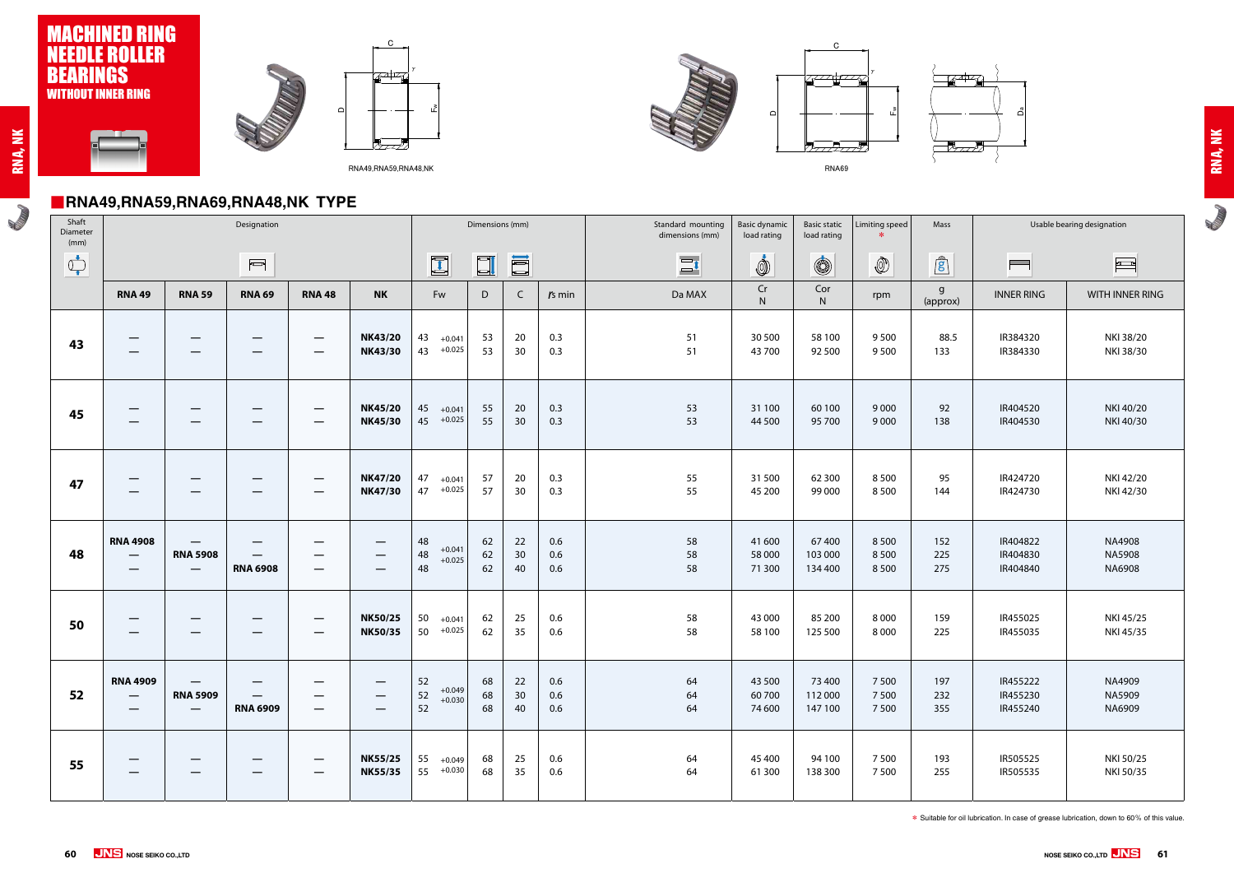### ■**RNA49,RNA59,RNA69,RNA48,NK TYPE**

**Romando** 



㪝

㫎

 $\gamma$ 

747



㪝



RNA69

㫎

 $\gamma$ 





| Shaft<br>Diameter<br>(mm)                                                                                                                                                                                                                                                                                                                           |                                                   |                                      | Designation             |               |                                  |                                        | Dimensions (mm) |                |                   | Standard mounting<br>dimensions (mm) | <b>Basic dynamic</b><br>load rating | <b>Basic static</b><br>load rating | Limiting speed<br>$*$    | Mas                                                   |
|-----------------------------------------------------------------------------------------------------------------------------------------------------------------------------------------------------------------------------------------------------------------------------------------------------------------------------------------------------|---------------------------------------------------|--------------------------------------|-------------------------|---------------|----------------------------------|----------------------------------------|-----------------|----------------|-------------------|--------------------------------------|-------------------------------------|------------------------------------|--------------------------|-------------------------------------------------------|
| $\begin{picture}(220,20) \put(0,0){\line(1,0){10}} \put(15,0){\line(1,0){10}} \put(15,0){\line(1,0){10}} \put(15,0){\line(1,0){10}} \put(15,0){\line(1,0){10}} \put(15,0){\line(1,0){10}} \put(15,0){\line(1,0){10}} \put(15,0){\line(1,0){10}} \put(15,0){\line(1,0){10}} \put(15,0){\line(1,0){10}} \put(15,0){\line(1,0){10}} \put(15,0){\line($ |                                                   |                                      | $\overline{\mathbb{C}}$ |               |                                  | $\Box$                                 | $\Box$          | i              |                   | $\Xi$ <sup>1</sup>                   | İ                                   | $\circledS$                        | $\circled{0}$            | $\mathbf{g}$                                          |
|                                                                                                                                                                                                                                                                                                                                                     | <b>RNA 49</b>                                     | <b>RNA 59</b>                        | <b>RNA 69</b>           | <b>RNA 48</b> | <b>NK</b>                        | Fw                                     | D               | $\mathsf{C}$   | $rs$ min          | Da MAX                               | $\mathsf{Cr}$<br>${\sf N}$          | Cor<br>${\sf N}$                   | rpm                      | $\overline{g}$<br>(appr                               |
| 43                                                                                                                                                                                                                                                                                                                                                  |                                                   |                                      |                         | –             | <b>NK43/20</b><br><b>NK43/30</b> | 43<br>$+0.041$<br>43<br>$+0.025$       | 53<br>53        | 20<br>30       | 0.3<br>0.3        | 51<br>51                             | 30 500<br>43 700                    | 58 100<br>92 500                   | 9500<br>9500             | 8 <sup>i</sup><br>13.                                 |
| 45                                                                                                                                                                                                                                                                                                                                                  |                                                   |                                      |                         |               | <b>NK45/20</b><br><b>NK45/30</b> | 45<br>$+0.041$<br>$+0.025$<br>45       | 55<br>55        | 20<br>30       | 0.3<br>0.3        | 53<br>53                             | 31 100<br>44 500                    | 60 100<br>95 700                   | 9 0 0 0<br>9 0 0 0       | 9 <sub>i</sub><br>13                                  |
| 47                                                                                                                                                                                                                                                                                                                                                  |                                                   |                                      |                         |               | <b>NK47/20</b><br><b>NK47/30</b> | 47<br>$+0.041$<br>$+0.025$<br>47       | 57<br>57        | 20<br>30       | 0.3<br>0.3        | 55<br>55                             | 31 500<br>45 200                    | 62 300<br>99 000                   | 8500<br>8500             | 9<br>14                                               |
| 48                                                                                                                                                                                                                                                                                                                                                  | <b>RNA 4908</b><br>$\qquad \qquad \longleftarrow$ | <b>RNA 5908</b>                      | <b>RNA 6908</b>         |               | $\overline{\phantom{0}}$         | 48<br>$+0.041$<br>48<br>$+0.025$<br>48 | 62<br>62<br>62  | 22<br>30<br>40 | 0.6<br>0.6<br>0.6 | 58<br>58<br>58                       | 41 600<br>58 000<br>71 300          | 67 400<br>103 000<br>134 400       | 8500<br>8500<br>8500     | 15 <sub>i</sub><br>22!<br>27 <sup>1</sup>             |
| 50                                                                                                                                                                                                                                                                                                                                                  |                                                   |                                      |                         |               | <b>NK50/25</b><br><b>NK50/35</b> | 50<br>$+0.041$<br>$+0.025$<br>50       | 62<br>62        | 25<br>35       | 0.6<br>0.6        | 58<br>58                             | 43 000<br>58 100                    | 85 200<br>125 500                  | 8 0 0 0<br>8 0 0 0       | 15 <sub>2</sub><br>22.                                |
| 52                                                                                                                                                                                                                                                                                                                                                  | <b>RNA 4909</b><br>$\overline{\phantom{0}}$       | <b>RNA 5909</b><br>$\hspace{0.05cm}$ | <b>RNA 6909</b>         |               | –                                | 52<br>$+0.049$<br>52<br>$+0.030$<br>52 | 68<br>68<br>68  | 22<br>30<br>40 | 0.6<br>0.6<br>0.6 | 64<br>64<br>64                       | 43 500<br>60700<br>74 600           | 73 400<br>112 000<br>147 100       | 7 500<br>7500<br>7 5 0 0 | 19 <sup>2</sup><br>23 <sub>i</sub><br>35 <sub>1</sub> |
| 55                                                                                                                                                                                                                                                                                                                                                  |                                                   |                                      |                         |               | <b>NK55/25</b><br><b>NK55/35</b> | 55<br>$+0.049$<br>$+0.030$<br>55       | 68<br>68        | 25<br>35       | 0.6<br>0.6        | 64<br>64                             | 45 400<br>61 300                    | 94 100<br>138 300                  | 7 5 0 0<br>7 5 0 0       | 19 <sub>i</sub><br>25!                                |

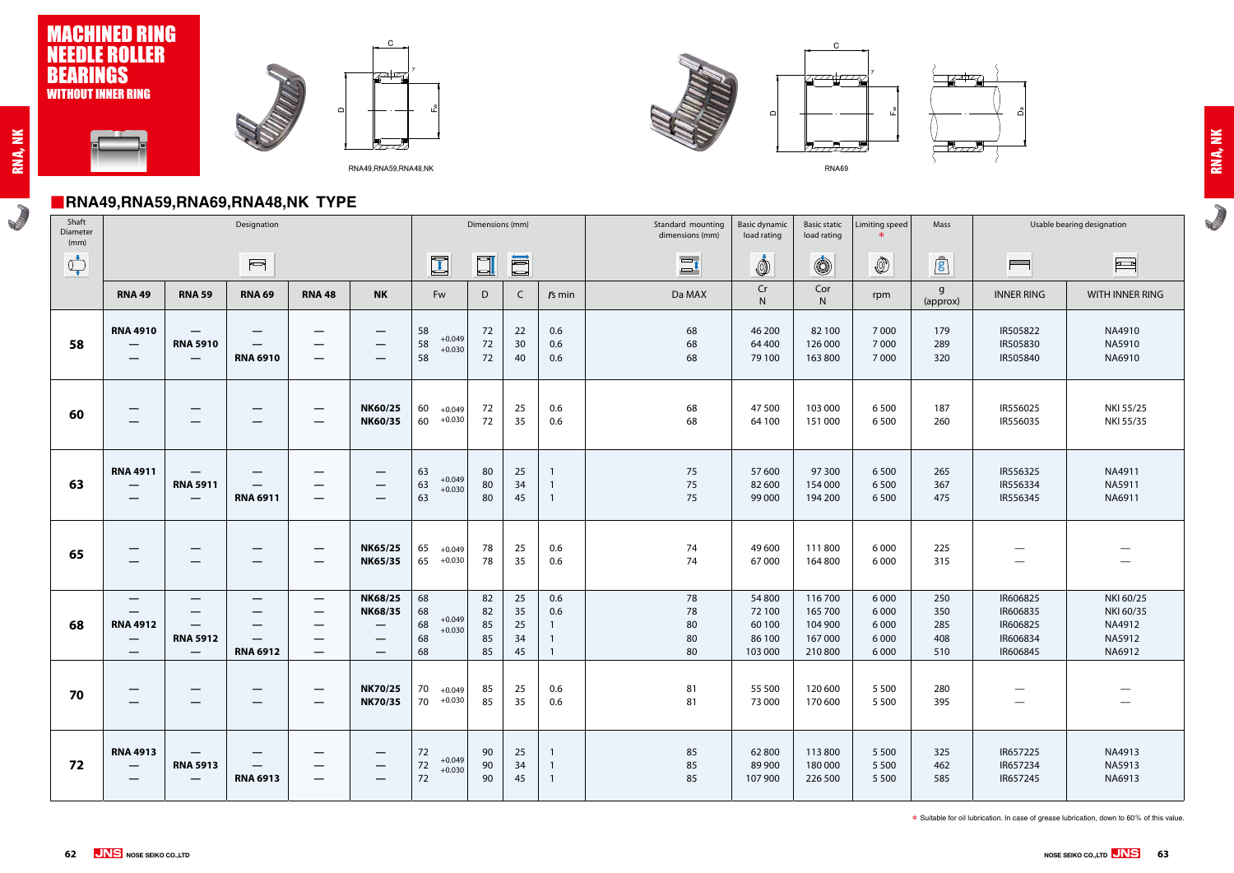#### ■**RNA49,RNA59,RNA69,RNA48,NK TYPE**

**Campbell** 









**RADIO** 

㪝㫎



 $\gamma$ 

RNA69



|                                                                                                                                                                                                                                                                                                                                                     | $\blacksquare$ niva+3,nivaJ3,nivaV3,niva+0,ivr i i f l                                |                                                                                       |                                                                                              |                                                                                  |                                                                                                                            |                                                    |                            |                            |                                                                |                                      |                                                 |                                                     |                                                     |                                 |                                                          |                                                                                                                                                                                                                                                                                                                                                                                                                                                                                                                                                                                                                       |
|-----------------------------------------------------------------------------------------------------------------------------------------------------------------------------------------------------------------------------------------------------------------------------------------------------------------------------------------------------|---------------------------------------------------------------------------------------|---------------------------------------------------------------------------------------|----------------------------------------------------------------------------------------------|----------------------------------------------------------------------------------|----------------------------------------------------------------------------------------------------------------------------|----------------------------------------------------|----------------------------|----------------------------|----------------------------------------------------------------|--------------------------------------|-------------------------------------------------|-----------------------------------------------------|-----------------------------------------------------|---------------------------------|----------------------------------------------------------|-----------------------------------------------------------------------------------------------------------------------------------------------------------------------------------------------------------------------------------------------------------------------------------------------------------------------------------------------------------------------------------------------------------------------------------------------------------------------------------------------------------------------------------------------------------------------------------------------------------------------|
| Shaft<br>Diameter<br>(mm)                                                                                                                                                                                                                                                                                                                           |                                                                                       |                                                                                       | Designation                                                                                  |                                                                                  |                                                                                                                            |                                                    | Dimensions (mm)            |                            |                                                                | Standard mounting<br>dimensions (mm) | <b>Basic dynamic</b><br>load rating             | <b>Basic static</b><br>load rating                  | Limiting speed                                      | Mass                            |                                                          | Usable bearing designation                                                                                                                                                                                                                                                                                                                                                                                                                                                                                                                                                                                            |
| $\begin{picture}(220,20) \put(0,0){\line(1,0){10}} \put(15,0){\line(1,0){10}} \put(15,0){\line(1,0){10}} \put(15,0){\line(1,0){10}} \put(15,0){\line(1,0){10}} \put(15,0){\line(1,0){10}} \put(15,0){\line(1,0){10}} \put(15,0){\line(1,0){10}} \put(15,0){\line(1,0){10}} \put(15,0){\line(1,0){10}} \put(15,0){\line(1,0){10}} \put(15,0){\line($ |                                                                                       |                                                                                       | $\overline{\phantom{a}}$                                                                     |                                                                                  |                                                                                                                            | $\mathbf{I}$                                       | $\Box$                     | I                          |                                                                | $\Xi$ <sup>t</sup>                   | İ                                               | $\circledS$                                         | $\circledS$                                         | $\mathbf{r}$                    | $\equiv$                                                 | $\begin{tabular}{ c c c } \hline \quad \quad & \quad \quad & \quad \quad \\ \hline \quad \quad & \quad \quad & \quad \quad \\ \hline \quad \quad & \quad \quad & \quad \quad \\ \hline \quad \quad & \quad \quad & \quad \quad \\ \hline \quad \quad & \quad \quad & \quad \quad \\ \hline \quad \quad & \quad \quad & \quad \quad \\ \hline \quad \quad & \quad \quad & \quad \quad \\ \hline \quad \quad & \quad \quad & \quad \quad \\ \hline \quad \quad & \quad \quad & \quad \quad \\ \hline \quad \quad & \quad \quad & \quad \quad \\ \hline \quad \quad & \quad \quad & \quad \quad \\ \hline \quad \quad &$ |
|                                                                                                                                                                                                                                                                                                                                                     | <b>RNA 49</b>                                                                         | <b>RNA 59</b>                                                                         | <b>RNA 69</b>                                                                                | <b>RNA 48</b>                                                                    | <b>NK</b>                                                                                                                  | Fw                                                 | D                          | $\mathsf{C}$               | $rs$ min                                                       | Da MAX                               | Cr<br>N.                                        | Cor<br>N.                                           | rpm                                                 | $\mathsf{g}$<br>(approx)        | <b>INNER RING</b>                                        | WITH INNER RING                                                                                                                                                                                                                                                                                                                                                                                                                                                                                                                                                                                                       |
| 58                                                                                                                                                                                                                                                                                                                                                  | <b>RNA 4910</b><br>$\hspace{0.05cm}$<br>$\hspace{0.05cm}$                             | $\hspace{0.05cm}$<br><b>RNA 5910</b><br>$\hspace{0.1mm}-\hspace{0.1mm}$               | $\hspace{0.1mm}-\hspace{0.1mm}$<br>$\hspace{0.1mm}-\hspace{0.1mm}$<br><b>RNA 6910</b>        | $\overline{\phantom{m}}$<br>$\hspace{0.05cm}$<br>$\hspace{0.05cm}$               | $\hspace{0.05cm}$<br>$\overline{\phantom{0}}$<br>$\qquad \qquad$                                                           | 58<br>$+0.049$<br>58<br>$+0.030$<br>58             | 72<br>72<br>72             | 22<br>30<br>40             | 0.6<br>0.6<br>0.6                                              | 68<br>68<br>68                       | 46 200<br>64 400<br>79 100                      | 82 100<br>126 000<br>163 800                        | 7000<br>7000<br>7000                                | 179<br>289<br>320               | IR505822<br>IR505830<br>IR505840                         | NA4910<br>NA5910<br>NA6910                                                                                                                                                                                                                                                                                                                                                                                                                                                                                                                                                                                            |
| 60                                                                                                                                                                                                                                                                                                                                                  | $\overline{\phantom{m}}$                                                              |                                                                                       |                                                                                              | $\hspace{0.05cm}$                                                                | <b>NK60/25</b><br><b>NK60/35</b>                                                                                           | 60<br>$+0.049$<br>60<br>$+0.030$                   | 72<br>72                   | 25<br>35                   | 0.6<br>0.6                                                     | 68<br>68                             | 47 500<br>64 100                                | 103 000<br>151 000                                  | 6500<br>6500                                        | 187<br>260                      | IR556025<br>IR556035                                     | NKI 55/25<br>NKI 55/35                                                                                                                                                                                                                                                                                                                                                                                                                                                                                                                                                                                                |
| 63                                                                                                                                                                                                                                                                                                                                                  | <b>RNA 4911</b><br>$\hspace{0.05cm}$<br>$\overline{\phantom{m}}$                      | $\hspace{0.05cm}$<br><b>RNA 5911</b><br>$\overline{\phantom{m}}$                      | $\qquad \qquad \longleftarrow$<br>$\hspace{0.05cm}$<br><b>RNA 6911</b>                       | $\hspace{0.1mm}-\hspace{0.1mm}$<br>$\hspace{0.05cm}$<br>$\overline{\phantom{m}}$ | –<br>$\qquad \qquad \longleftarrow$                                                                                        | 63<br>$+0.049$<br>63<br>$+0.030$<br>63             | 80<br>80<br>80             | 25<br>34<br>45             | $\overline{1}$<br>$\overline{1}$<br>$\overline{1}$             | 75<br>75<br>75                       | 57 600<br>82 600<br>99 000                      | 97 300<br>154 000<br>194 200                        | 6500<br>6500<br>6500                                | 265<br>367<br>475               | IR556325<br>IR556334<br>IR556345                         | NA4911<br>NA5911<br>NA6911                                                                                                                                                                                                                                                                                                                                                                                                                                                                                                                                                                                            |
| 65                                                                                                                                                                                                                                                                                                                                                  | —                                                                                     | $\hspace{0.05cm}$                                                                     |                                                                                              | $\overline{\phantom{m}}$<br>$\qquad \qquad \overline{\qquad \qquad }$            | <b>NK65/25</b><br><b>NK65/35</b>                                                                                           | 65<br>$+0.049$<br>65<br>$+0.030$                   | 78<br>78                   | 25<br>35                   | 0.6<br>0.6                                                     | 74<br>74                             | 49 600<br>67000                                 | 111800<br>164 800                                   | 6 0 0 0<br>6 0 0 0                                  | 225<br>315                      | —                                                        | $\hspace{0.05cm}$                                                                                                                                                                                                                                                                                                                                                                                                                                                                                                                                                                                                     |
| 68                                                                                                                                                                                                                                                                                                                                                  | $\hspace{0.05cm}$<br><b>RNA 4912</b><br>$\overline{\phantom{m}}$<br>$\hspace{0.05cm}$ | $\hspace{0.1mm}-\hspace{0.1mm}$<br>$\hspace{0.1mm}-\hspace{0.1mm}$<br><b>RNA 5912</b> | $\overline{\phantom{m}}$<br>$\hspace{0.05cm}$<br>$\overline{\phantom{m}}$<br><b>RNA 6912</b> | $\overline{\phantom{m}}$<br>$\overline{\phantom{m}}$                             | <b>NK68/25</b><br><b>NK68/35</b><br>$\qquad \qquad \longleftarrow$<br>$\overline{\phantom{0}}$<br>$\overline{\phantom{0}}$ | 68<br>68<br>$+0.049$<br>68<br>$+0.030$<br>68<br>68 | 82<br>82<br>85<br>85<br>85 | 25<br>35<br>25<br>34<br>45 | 0.6<br>0.6<br>$\mathbf{1}$<br>$\overline{1}$<br>$\overline{1}$ | 78<br>78<br>80<br>80<br>80           | 54 800<br>72 100<br>60 100<br>86 100<br>103 000 | 116 700<br>165 700<br>104 900<br>167 000<br>210 800 | 6 0 0 0<br>6 0 0 0<br>6 0 0 0<br>6 0 0 0<br>6 0 0 0 | 250<br>350<br>285<br>408<br>510 | IR606825<br>IR606835<br>IR606825<br>IR606834<br>IR606845 | NKI 60/25<br>NKI 60/35<br>NA4912<br>NA5912<br>NA6912                                                                                                                                                                                                                                                                                                                                                                                                                                                                                                                                                                  |
| 70                                                                                                                                                                                                                                                                                                                                                  |                                                                                       |                                                                                       |                                                                                              |                                                                                  | <b>NK70/25</b><br><b>NK70/35</b>                                                                                           | 70<br>$+0.049$<br>$70 + 0.030$                     | 85<br>85                   | 25<br>35                   | 0.6<br>0.6                                                     | 81<br>81                             | 55 500<br>73 000                                | 120 600<br>170 600                                  | 5 5 0 0<br>5 5 0 0                                  | 280<br>395                      | —                                                        |                                                                                                                                                                                                                                                                                                                                                                                                                                                                                                                                                                                                                       |
| 72                                                                                                                                                                                                                                                                                                                                                  | <b>RNA 4913</b><br>$\overline{\phantom{m}}$                                           | <b>RNA 5913</b><br>$\hspace{0.05cm}$                                                  | <b>RNA 6913</b>                                                                              | $\qquad \qquad \longleftarrow$                                                   |                                                                                                                            | 72<br>$+0.049$<br>$72\,$<br>$+0.030$<br>72         | 90<br>90<br>90             | 25<br>34<br>45             | $\overline{1}$<br>$\overline{1}$<br>$\overline{1}$             | 85<br>85<br>85                       | 62800<br>89 900<br>107 900                      | 113 800<br>180 000<br>226 500                       | 5 5 0 0<br>5 5 0 0<br>5 5 0 0                       | 325<br>462<br>585               | IR657225<br>IR657234<br>IR657245                         | NA4913<br><b>NA5913</b><br>NA6913                                                                                                                                                                                                                                                                                                                                                                                                                                                                                                                                                                                     |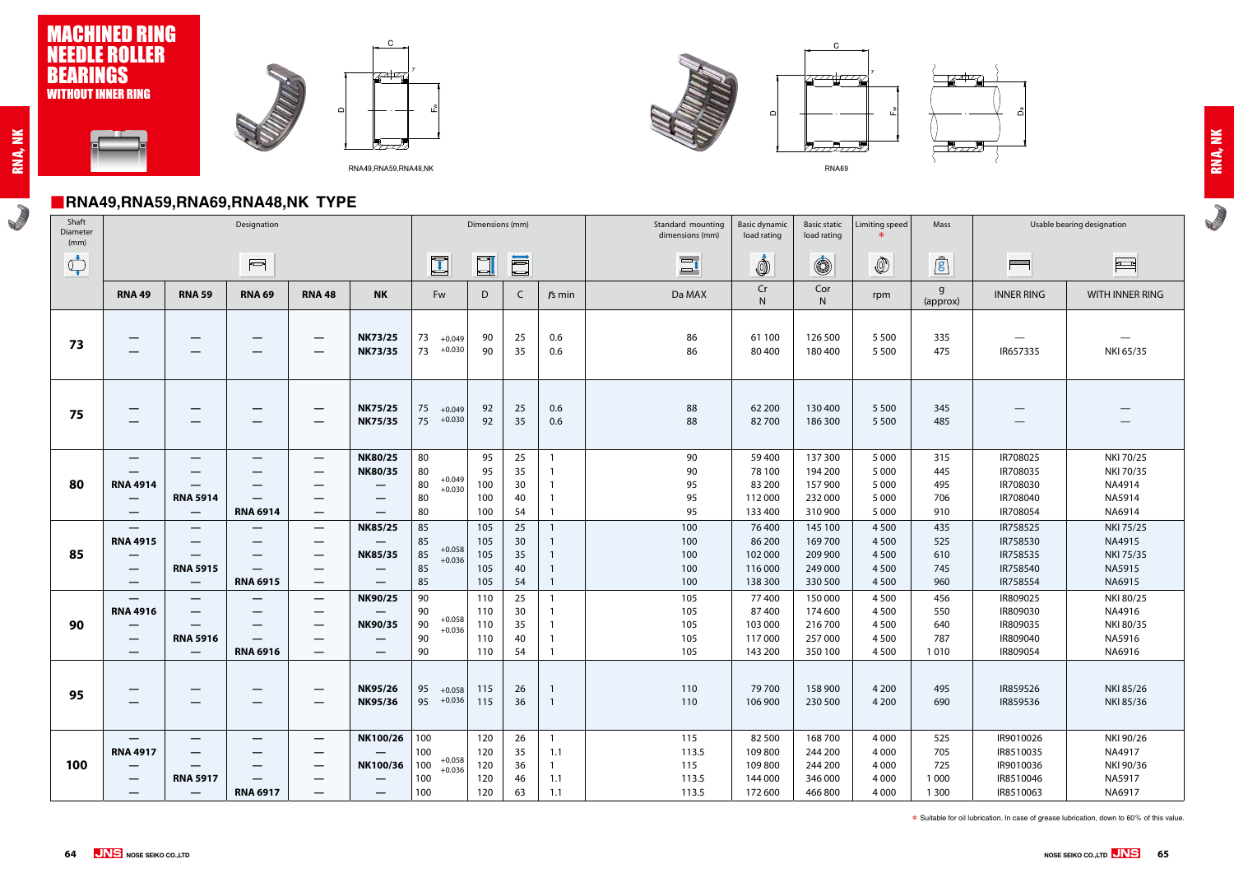#### ■**RNA49,RNA59,RNA69,RNA48,NK TYPE**

**ROWLED** 







**RADIO** 



㪝㫎

RNA69

 $\gamma$ 



|                                | $\blacksquare$ iiivatu,iiivauu,iiivauu,iiivatu,ivin  i  i  l  l<br>Shaft<br>Dimensions (mm)<br>Usable bearing designation<br>Mass |                                                                                              |                                                                         |                                                                                                                            |                                                                                          |                                                         |                                 |                                         |                                                                                        |                                       |                                                   |                                                     |                                                     |                                         |                                                               |                                                                        |
|--------------------------------|-----------------------------------------------------------------------------------------------------------------------------------|----------------------------------------------------------------------------------------------|-------------------------------------------------------------------------|----------------------------------------------------------------------------------------------------------------------------|------------------------------------------------------------------------------------------|---------------------------------------------------------|---------------------------------|-----------------------------------------|----------------------------------------------------------------------------------------|---------------------------------------|---------------------------------------------------|-----------------------------------------------------|-----------------------------------------------------|-----------------------------------------|---------------------------------------------------------------|------------------------------------------------------------------------|
| Diameter<br>(mm)               |                                                                                                                                   |                                                                                              | Designation                                                             |                                                                                                                            |                                                                                          |                                                         |                                 |                                         |                                                                                        | Standard mounting<br>dimensions (mm)  | <b>Basic dynamic</b><br>load rating               | <b>Basic static</b><br>load rating                  | Limiting speed                                      |                                         |                                                               |                                                                        |
| $\bigcirc_{\bullet}^{\bullet}$ |                                                                                                                                   |                                                                                              | $\overline{\phantom{0}}$                                                |                                                                                                                            |                                                                                          | $\blacksquare$                                          | $\Box$                          | <b>III</b>                              |                                                                                        | $\Xi$ <sup>t</sup>                    | İ                                                 | $\circledS$                                         | $\circledS$                                         | $\mathbf{r}$                            | $\overline{\phantom{0}}$                                      | $\begin{array}{ c c } \hline \text{r} & \text{r} \\\hline \end{array}$ |
|                                | <b>RNA 49</b>                                                                                                                     | <b>RNA 59</b>                                                                                | <b>RNA 69</b>                                                           | <b>RNA48</b>                                                                                                               | <b>NK</b>                                                                                | Fw                                                      | D                               | $\mathsf{C}$                            | $rs$ min                                                                               | Da MAX                                | Cr<br>$\mathsf{N}$                                | Cor<br>N.                                           | rpm                                                 | $\mathsf{g}$<br>(approx)                | <b>INNER RING</b>                                             | WITH INNER RING                                                        |
| 73                             | $\hspace{0.1mm}-\hspace{0.1mm}$<br>$\overline{\phantom{0}}$                                                                       | $\qquad \qquad \  \  \, -\qquad \qquad$<br>$\hspace{0.05cm}$                                 | $\overline{\phantom{m}}$                                                | $\overline{\phantom{m}}$<br>$\overline{\phantom{m}}$                                                                       | <b>NK73/25</b><br><b>NK73/35</b>                                                         | 73<br>$+0.049$<br>73<br>$+0.030$                        | 90<br>90                        | 25<br>35                                | 0.6<br>0.6                                                                             | 86<br>86                              | 61 100<br>80 400                                  | 126 500<br>180 400                                  | 5 5 0 0<br>5 5 0 0                                  | 335<br>475                              | $\overbrace{\phantom{13333}}$<br>IR657335                     | NKI 65/35                                                              |
| 75                             | —<br>$\overline{\phantom{0}}$                                                                                                     | $\hspace{0.1mm}-\hspace{0.1mm}$<br>$\hspace{0.05cm}$                                         |                                                                         |                                                                                                                            | <b>NK75/25</b><br><b>NK75/35</b>                                                         | 75<br>$+0.049$<br>75<br>$+0.030$                        | 92<br>92                        | 25<br>35                                | 0.6<br>0.6                                                                             | 88<br>88                              | 62 200<br>82700                                   | 130 400<br>186 300                                  | 5 5 0 0<br>5 5 0 0                                  | 345<br>485                              | $\hspace{0.05cm}$                                             |                                                                        |
| 80                             | $\hspace{0.05cm}$<br><b>RNA 4914</b><br>$\hspace{0.05cm}$<br>$\hspace{0.05cm}$                                                    | $\overline{\phantom{0}}$<br>$\hspace{0.05cm}$<br><b>RNA 5914</b><br>$\overline{\phantom{m}}$ | $\overline{\phantom{m}}$<br><b>RNA 6914</b>                             | $\overline{\phantom{m}}$<br>$\overline{\phantom{m}}$<br>$\overline{\phantom{m}}$                                           | <b>NK80/25</b><br><b>NK80/35</b><br>—<br>$\overline{\phantom{0}}$                        | 80<br>80<br>$+0.049$<br>$80\,$<br>$+0.030$<br>80<br>80  | 95<br>95<br>100<br>100<br>100   | 25<br>35<br>30<br>40<br>54              | $\overline{1}$<br>$\overline{1}$<br>$\overline{1}$<br>$\overline{1}$<br>$\overline{1}$ | 90<br>90<br>95<br>95<br>95            | 59 400<br>78 100<br>83 200<br>112 000<br>133 400  | 137 300<br>194 200<br>157 900<br>232 000<br>310 900 | 5 0 0 0<br>5 0 0 0<br>5 0 0 0<br>5 0 0 0<br>5 0 0 0 | 315<br>445<br>495<br>706<br>910         | IR708025<br>IR708035<br>IR708030<br>IR708040<br>IR708054      | NKI 70/25<br>NKI 70/35<br>NA4914<br>NA5914<br>NA6914                   |
| 85                             | $\hspace{0.05cm}$<br><b>RNA 4915</b><br>$\hspace{0.05cm}$<br>$\hspace{0.05cm}$<br>$\hspace{0.05cm}$                               | $\hspace{0.05cm}$<br>$\overline{\phantom{0}}$<br><b>RNA 5915</b><br>$\hspace{0.05cm}$        | $\overline{\phantom{m}}$<br>$\overline{\phantom{m}}$<br><b>RNA 6915</b> | $\overline{\phantom{m}}$<br>$\hspace{0.1mm}-\hspace{0.1mm}$<br>$\hspace{0.1mm}-\hspace{0.1mm}$<br>$\overline{\phantom{m}}$ | <b>NK85/25</b><br><b>NK85/35</b><br>$\overline{\phantom{0}}$<br>$\overline{\phantom{0}}$ | 85<br>85<br>$+0.058$<br>85<br>$+0.036$<br>85<br>85      | 105<br>105<br>105<br>105<br>105 | 25<br>30 <sup>°</sup><br>35<br>40<br>54 | $\mathbf{1}$<br>$\overline{1}$<br>$\overline{1}$<br>$\overline{1}$<br>$\overline{1}$   | 100<br>100<br>100<br>100<br>100       | 76 400<br>86 200<br>102 000<br>116 000<br>138 300 | 145 100<br>169 700<br>209 900<br>249 000<br>330 500 | 4 5 0 0<br>4500<br>4500<br>4500<br>4500             | 435<br>525<br>610<br>745<br>960         | IR758525<br>IR758530<br>IR758535<br>IR758540<br>IR758554      | NKI 75/25<br>NA4915<br>NKI 75/35<br>NA5915<br>NA6915                   |
| 90                             | $\hspace{0.1mm}-\hspace{0.1mm}$<br><b>RNA 4916</b><br>$\qquad \qquad \longleftarrow$<br>$\hspace{0.05cm}$<br>–                    | $\overline{\phantom{0}}$<br>$\overline{\phantom{0}}$<br><b>RNA 5916</b><br>$\hspace{0.05cm}$ | $\hspace{0.1mm}-\hspace{0.1mm}$<br>$\hspace{0.05cm}$<br><b>RNA 6916</b> | $\overline{\phantom{m}}$<br>$\overline{\phantom{m}}$<br>$\overline{\phantom{m}}$<br>$\hspace{0.05cm}$<br>$\hspace{0.05cm}$ | <b>NK90/25</b><br><b>NK90/35</b>                                                         | 90<br>90<br>$+0.058$<br>$90\,$<br>$+0.036$<br>90<br>90  | 110<br>110<br>110<br>110<br>110 | 25<br>30<br>35<br>40<br>54              | $\mathbf{1}$<br>$\overline{1}$<br>$\overline{1}$<br>$\overline{1}$                     | 105<br>105<br>105<br>105<br>105       | 77400<br>87400<br>103 000<br>117000<br>143 200    | 150 000<br>174 600<br>216 700<br>257 000<br>350 100 | 4500<br>4500<br>4500<br>4500<br>4500                | 456<br>550<br>640<br>787<br>1010        | IR809025<br>IR809030<br>IR809035<br>IR809040<br>IR809054      | NKI 80/25<br>NA4916<br>NKI 80/35<br>NA5916<br>NA6916                   |
| 95                             | $\qquad \qquad \longleftarrow$                                                                                                    | $\hspace{0.05cm}$                                                                            |                                                                         | $\hspace{0.1mm}-\hspace{0.1mm}$                                                                                            | <b>NK95/26</b><br><b>NK95/36</b>                                                         | 95<br>$+0.058$<br>95<br>$+0.036$                        | 115<br>115                      | 26<br>36                                | $\overline{1}$<br>$\overline{1}$                                                       | 110<br>110                            | 79 700<br>106 900                                 | 158 900<br>230 500                                  | 4 2 0 0<br>4 2 0 0                                  | 495<br>690                              | IR859526<br>IR859536                                          | NKI 85/26<br>NKI 85/36                                                 |
| 100                            | $\hspace{0.05cm}$<br><b>RNA 4917</b><br>$\hspace{0.05cm}$<br>$\hspace{0.1mm}-\hspace{0.1mm}$                                      | $\qquad \qquad \longleftarrow$<br><b>RNA 5917</b>                                            | $\hspace{0.05cm}$<br><b>RNA 6917</b>                                    | $\overline{\phantom{m}}$<br>–<br>—                                                                                         | NK100/26<br>NK100/36<br>$\qquad \qquad \overline{\qquad \qquad }$                        | 100<br>100<br>$+0.058$<br>100<br>$+0.036$<br>100<br>100 | 120<br>120<br>120<br>120<br>120 | 26<br>35<br>36<br>46<br>63              | $\overline{1}$<br>1.1<br>$\mathbf{1}$<br>1.1<br>1.1                                    | 115<br>113.5<br>115<br>113.5<br>113.5 | 82 500<br>109800<br>109800<br>144 000<br>172 600  | 168 700<br>244 200<br>244 200<br>346 000<br>466 800 | 4 0 0 0<br>4 0 0 0<br>4 0 0 0<br>4 0 0 0<br>4 0 0 0 | 525<br>705<br>725<br>1 0 0 0<br>1 3 0 0 | IR9010026<br>IR8510035<br>IR9010036<br>IR8510046<br>IR8510063 | NKI 90/26<br>NA4917<br>NKI 90/36<br>NA5917<br>NA6917                   |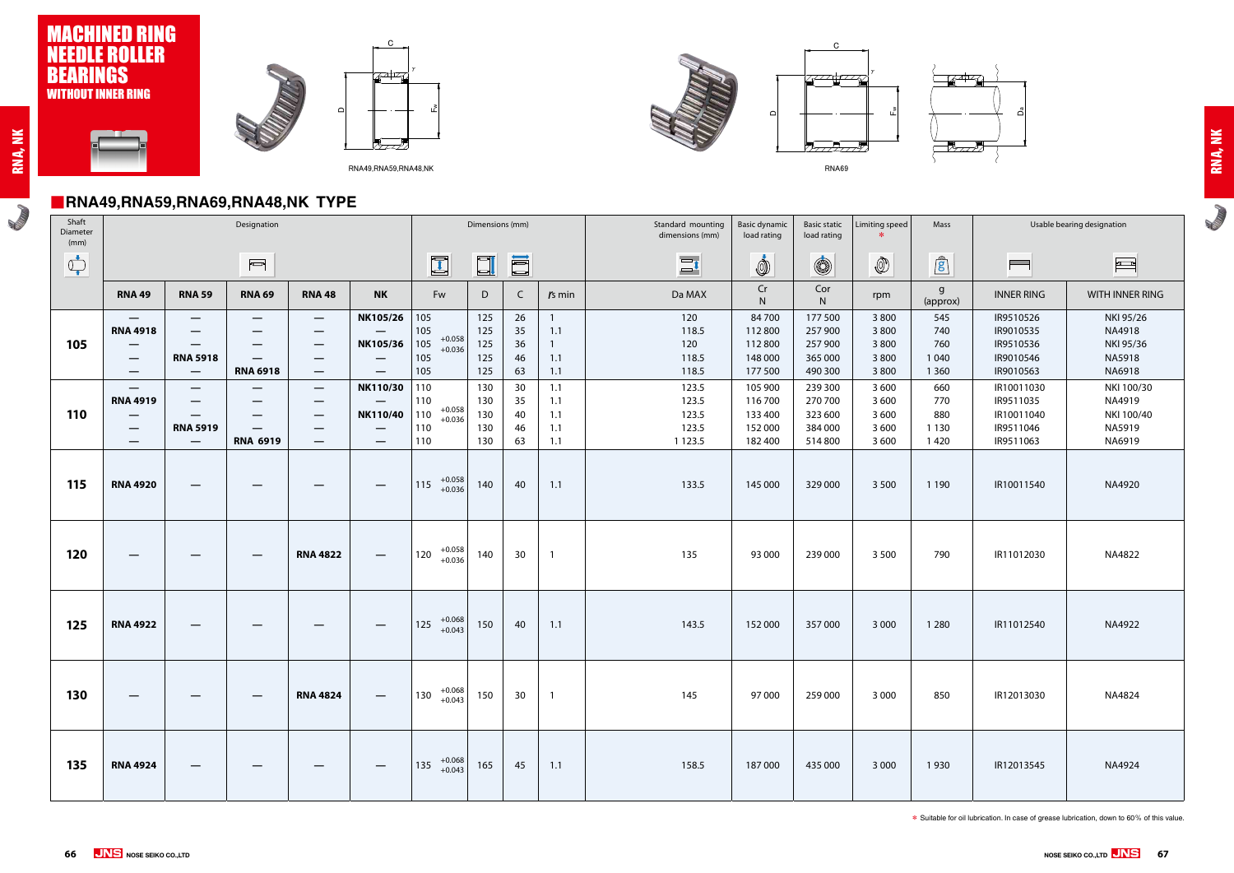# ■**RNA49,RNA59,RNA69,RNA48,NK TYPE**

**Romando** 









**RADIO** 

㪝



RNA69

㫎





| Shaft<br>Diameter<br>(mm)   |                                                                                                                                      |                                                                                                                               |                                                                                                                                                                                                                                                                                                                                                     |                                                                                          | Dimensions (mm)                                                                                   |                                                                                                               |                                        | Standard mounting<br>dimensions (mm) | <b>Basic dynamic</b><br>load rating    | <b>Basic static</b><br>load rating                      | Limiting speed                                                 | Mass                                                           |                                                   | Usable bearing designation                      |                                                                              |                                                                          |
|-----------------------------|--------------------------------------------------------------------------------------------------------------------------------------|-------------------------------------------------------------------------------------------------------------------------------|-----------------------------------------------------------------------------------------------------------------------------------------------------------------------------------------------------------------------------------------------------------------------------------------------------------------------------------------------------|------------------------------------------------------------------------------------------|---------------------------------------------------------------------------------------------------|---------------------------------------------------------------------------------------------------------------|----------------------------------------|--------------------------------------|----------------------------------------|---------------------------------------------------------|----------------------------------------------------------------|----------------------------------------------------------------|---------------------------------------------------|-------------------------------------------------|------------------------------------------------------------------------------|--------------------------------------------------------------------------|
| $\bigoplus_{\blacklozenge}$ |                                                                                                                                      |                                                                                                                               | $\begin{picture}(20,20) \put(0,0){\line(1,0){10}} \put(15,0){\line(1,0){10}} \put(15,0){\line(1,0){10}} \put(15,0){\line(1,0){10}} \put(15,0){\line(1,0){10}} \put(15,0){\line(1,0){10}} \put(15,0){\line(1,0){10}} \put(15,0){\line(1,0){10}} \put(15,0){\line(1,0){10}} \put(15,0){\line(1,0){10}} \put(15,0){\line(1,0){10}} \put(15,0){\line(1$ |                                                                                          |                                                                                                   | $\begin{bmatrix} \begin{matrix} \begin{matrix} \text{1} \end{matrix} \\ \text{2} \end{bmatrix} \end{bmatrix}$ | $\Box$                                 | E                                    |                                        | $\overline{\phantom{a}}$<br>$\equiv$                    | İ                                                              | $\circledS$                                                    | $\circled{0}$                                     | $\mathbf{r}$                                    | $\overline{\phantom{0}}$                                                     | $\frac{1}{2}$                                                            |
|                             | <b>RNA 49</b>                                                                                                                        | <b>RNA 59</b>                                                                                                                 | <b>RNA 69</b>                                                                                                                                                                                                                                                                                                                                       | <b>RNA 48</b>                                                                            | <b>NK</b>                                                                                         | Fw                                                                                                            | D                                      | $\mathsf{C}$                         | $rs$ min                               | Da MAX                                                  | Cr<br>$\mathsf{N}$                                             | Cor<br>N                                                       | rpm                                               | g<br>(approx)                                   | <b>INNER RING</b>                                                            | <b>WITH INNER</b>                                                        |
| 105                         | $\overline{\phantom{0}}$<br><b>RNA 4918</b><br>$\overline{\phantom{0}}$                                                              | $\overline{\phantom{0}}$<br>—<br><b>RNA 5918</b>                                                                              | $\overline{\phantom{0}}$<br>–<br>$\hspace{0.05cm}$                                                                                                                                                                                                                                                                                                  | $\hspace{0.05cm}$<br>–<br>$\hspace{0.05cm}$<br>$\qquad \qquad \overline{\qquad \qquad }$ | NK105/26<br>NK105/36<br>$\overline{\phantom{m}}$                                                  | 105<br>105<br>$+0.058$<br>105<br>$+0.036$<br>105                                                              | 125<br>125<br>125<br>125               | 26<br>35<br>36<br>46                 | 1.1<br>$\mathbf{1}$<br>1.1             | 120<br>118.5<br>120<br>118.5                            | 84700<br>112 800<br>112 800<br>148 000                         | 177 500<br>257 900<br>257 900<br>365 000                       | 3800<br>3800<br>3800<br>3800                      | 545<br>740<br>760<br>1 0 4 0                    | IR9510526<br>IR9010535<br>IR9510536<br>IR9010546                             | NKI 95/2<br>NA4918<br>NKI 95/3<br>NA5918                                 |
| 110                         | $\overline{\phantom{0}}$<br>$\overline{\phantom{0}}$<br><b>RNA 4919</b><br>—<br>$\overline{\phantom{a}}$<br>$\overline{\phantom{0}}$ | $\qquad \qquad -$<br>$\overline{\phantom{m}}$<br>—<br>$\hspace{0.05cm}$<br><b>RNA 5919</b><br>$\hspace{0.1mm}-\hspace{0.1mm}$ | <b>RNA 6918</b><br>—<br>—<br>$\overline{\phantom{m}}$<br><b>RNA 6919</b>                                                                                                                                                                                                                                                                            | $\hspace{0.05cm}$<br>$\hspace{0.05cm}$<br>—<br>$\hspace{0.05cm}$<br>—                    | $\overline{\phantom{0}}$<br>NK110/30<br>NK110/40<br>$\overline{\phantom{m}}$<br>$\hspace{0.05cm}$ | 105<br>110<br>110<br>$+0.058$<br>110<br>$+0.036$<br>110<br>110                                                | 125<br>130<br>130<br>130<br>130<br>130 | 63<br>30<br>35<br>40<br>46<br>63     | 1.1<br>1.1<br>1.1<br>1.1<br>1.1<br>1.1 | 118.5<br>123.5<br>123.5<br>123.5<br>123.5<br>1 1 2 3 .5 | 177 500<br>105 900<br>116 700<br>133 400<br>152 000<br>182 400 | 490 300<br>239 300<br>270 700<br>323 600<br>384 000<br>514 800 | 3800<br>3 600<br>3 600<br>3 600<br>3 600<br>3 600 | 1 3 6 0<br>660<br>770<br>880<br>1 1 3 0<br>1420 | IR9010563<br>IR10011030<br>IR9511035<br>IR10011040<br>IR9511046<br>IR9511063 | NA6918<br><b>NKI 100</b><br>NA4919<br><b>NKI 100</b><br>NA5919<br>NA6919 |
| 115                         | <b>RNA 4920</b>                                                                                                                      | —                                                                                                                             |                                                                                                                                                                                                                                                                                                                                                     |                                                                                          | $\overline{\phantom{m}}$                                                                          | $+0.058$<br>115<br>$+0.036$                                                                                   | 140                                    | 40                                   | 1.1                                    | 133.5                                                   | 145 000                                                        | 329 000                                                        | 3 5 0 0                                           | 1 1 9 0                                         | IR10011540                                                                   | NA4920                                                                   |
| 120                         |                                                                                                                                      |                                                                                                                               | —                                                                                                                                                                                                                                                                                                                                                   | <b>RNA 4822</b>                                                                          | $\hspace{0.05cm}$                                                                                 | $+0.058$<br>120<br>$+0.036$                                                                                   | 140                                    | 30                                   | $\overline{1}$                         | 135                                                     | 93 000                                                         | 239 000                                                        | 3 5 0 0                                           | 790                                             | IR11012030                                                                   | NA4822                                                                   |
| 125                         | <b>RNA 4922</b>                                                                                                                      | $\hspace{0.05cm}$                                                                                                             | —                                                                                                                                                                                                                                                                                                                                                   | —                                                                                        | $\overline{\phantom{a}}$                                                                          | $+0.068$<br>125<br>$+0.043$                                                                                   | 150                                    | 40                                   | 1.1                                    | 143.5                                                   | 152 000                                                        | 357 000                                                        | 3 0 0 0                                           | 1 2 8 0                                         | IR11012540                                                                   | NA4922                                                                   |
| 130                         | —                                                                                                                                    | –                                                                                                                             | $\qquad \qquad \overline{\qquad \qquad }$                                                                                                                                                                                                                                                                                                           | <b>RNA 4824</b>                                                                          | $\overline{\phantom{m}}$                                                                          | $+0.068$<br>$+0.043$<br>130                                                                                   | 150                                    | 30                                   | $\overline{1}$                         | 145                                                     | 97 000                                                         | 259 000                                                        | 3 0 0 0                                           | 850                                             | IR12013030                                                                   | NA4824                                                                   |
| 135                         | <b>RNA 4924</b>                                                                                                                      |                                                                                                                               |                                                                                                                                                                                                                                                                                                                                                     | —                                                                                        |                                                                                                   | $135$ $^{+0.068}_{+0.043}$                                                                                    | 165                                    | 45                                   | 1.1                                    | 158.5                                                   | 187000                                                         | 435 000                                                        | 3 0 0 0                                           | 1930                                            | IR12013545                                                                   | NA4924                                                                   |